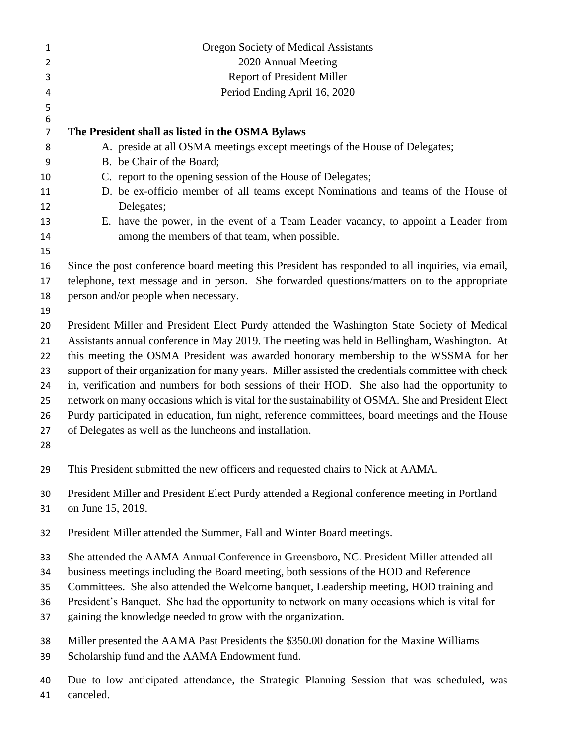| $\mathbf{1}$     | Oregon Society of Medical Assistants                                                               |
|------------------|----------------------------------------------------------------------------------------------------|
| $\overline{2}$   | 2020 Annual Meeting                                                                                |
| 3                | Report of President Miller                                                                         |
| 4                | Period Ending April 16, 2020                                                                       |
| 5                |                                                                                                    |
| $\boldsymbol{6}$ |                                                                                                    |
| $\overline{7}$   | The President shall as listed in the OSMA Bylaws                                                   |
| 8                | A. preside at all OSMA meetings except meetings of the House of Delegates;                         |
| 9                | B. be Chair of the Board;                                                                          |
| 10               | C. report to the opening session of the House of Delegates;                                        |
| 11<br>12         | D. be ex-officio member of all teams except Nominations and teams of the House of<br>Delegates;    |
| 13               | E. have the power, in the event of a Team Leader vacancy, to appoint a Leader from                 |
| 14               | among the members of that team, when possible.                                                     |
| 15               |                                                                                                    |
| 16               | Since the post conference board meeting this President has responded to all inquiries, via email,  |
| 17               | telephone, text message and in person. She forwarded questions/matters on to the appropriate       |
| 18               | person and/or people when necessary.                                                               |
| 19               |                                                                                                    |
| 20               | President Miller and President Elect Purdy attended the Washington State Society of Medical        |
| 21               | Assistants annual conference in May 2019. The meeting was held in Bellingham, Washington. At       |
| 22               | this meeting the OSMA President was awarded honorary membership to the WSSMA for her               |
| 23               | support of their organization for many years. Miller assisted the credentials committee with check |
| 24               | in, verification and numbers for both sessions of their HOD. She also had the opportunity to       |
| 25               | network on many occasions which is vital for the sustainability of OSMA. She and President Elect   |
| 26               | Purdy participated in education, fun night, reference committees, board meetings and the House     |
| 27               | of Delegates as well as the luncheons and installation.                                            |
| 28               |                                                                                                    |
| 29               | This President submitted the new officers and requested chairs to Nick at AAMA.                    |
| 30               | President Miller and President Elect Purdy attended a Regional conference meeting in Portland      |
| 31               | on June 15, 2019.                                                                                  |
|                  |                                                                                                    |
| 32               | President Miller attended the Summer, Fall and Winter Board meetings.                              |
| 33               | She attended the AAMA Annual Conference in Greensboro, NC. President Miller attended all           |
| 34               | business meetings including the Board meeting, both sessions of the HOD and Reference              |
| 35               | Committees. She also attended the Welcome banquet, Leadership meeting, HOD training and            |
| 36               | President's Banquet. She had the opportunity to network on many occasions which is vital for       |
| 37               | gaining the knowledge needed to grow with the organization.                                        |
|                  |                                                                                                    |
| 38               | Miller presented the AAMA Past Presidents the \$350.00 donation for the Maxine Williams            |
| 39               | Scholarship fund and the AAMA Endowment fund.                                                      |
| 40               | Due to low anticipated attendance, the Strategic Planning Session that was scheduled, was          |
| 41               | canceled.                                                                                          |

canceled.